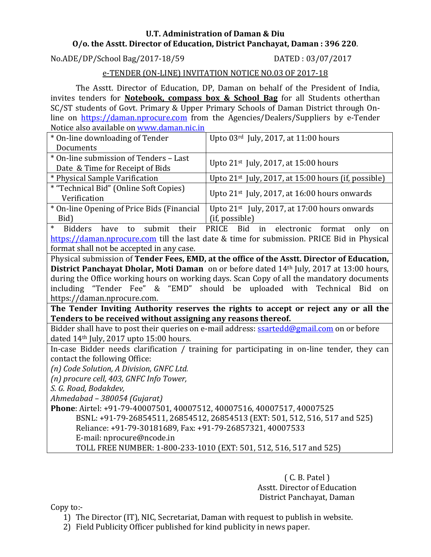#### **U.T. Administration of Daman & Diu O/o. the Asstt. Director of Education, District Panchayat, Daman : 396 220**.

No.ADE/DP/School Bag/2017-18/59 DATED : 03/07/2017

### e-TENDER (ON-LINE) INVITATION NOTICE NO.03 OF 2017-18

The Asstt. Director of Education, DP, Daman on behalf of the President of India, invites tenders for **Notebook, compass box & School Bag** for all Students otherthan SC/ST students of Govt. Primary & Upper Primary Schools of Daman District through Online on [https://daman.nprocure.com](https://daman.nprocure.com/) from the Agencies/Dealers/Suppliers by e-Tender Notice also available on [www.daman.nic.in](http://www.daman.nic.in/)

| * On-line downloading of Tender                                                             | Upto 03rd July, 2017, at 11:00 hours                                                       |  |  |  |  |
|---------------------------------------------------------------------------------------------|--------------------------------------------------------------------------------------------|--|--|--|--|
| Documents                                                                                   |                                                                                            |  |  |  |  |
| * On-line submission of Tenders - Last                                                      |                                                                                            |  |  |  |  |
| Date & Time for Receipt of Bids                                                             | Upto 21 <sup>st</sup> July, 2017, at 15:00 hours                                           |  |  |  |  |
| * Physical Sample Varification                                                              | Upto $21^{st}$ July, 2017, at 15:00 hours (if, possible)                                   |  |  |  |  |
| * "Technical Bid" (Online Soft Copies)                                                      |                                                                                            |  |  |  |  |
| Verification                                                                                | Upto 21 <sup>st</sup> July, 2017, at 16:00 hours onwards                                   |  |  |  |  |
| * On-line Opening of Price Bids (Financial                                                  | Upto 21 <sup>st</sup> July, 2017, at 17:00 hours onwards                                   |  |  |  |  |
| Bid)                                                                                        | (if, possible)                                                                             |  |  |  |  |
| $\ast$<br><b>Bidders</b><br>submit<br>their<br>have<br>to                                   | <b>PRICE</b><br><b>Bid</b><br>in<br>electronic<br>format<br>only<br>on                     |  |  |  |  |
|                                                                                             | https://daman.nprocure.com till the last date & time for submission. PRICE Bid in Physical |  |  |  |  |
| format shall not be accepted in any case.                                                   |                                                                                            |  |  |  |  |
| Physical submission of Tender Fees, EMD, at the office of the Asstt. Director of Education, |                                                                                            |  |  |  |  |
|                                                                                             | District Panchayat Dholar, Moti Daman on or before dated 14th July, 2017 at 13:00 hours,   |  |  |  |  |
| during the Office working hours on working days. Scan Copy of all the mandatory documents   |                                                                                            |  |  |  |  |
|                                                                                             | including "Tender Fee" & "EMD" should be uploaded with Technical Bid<br>on                 |  |  |  |  |
| https://daman.nprocure.com.                                                                 |                                                                                            |  |  |  |  |
|                                                                                             | The Tender Inviting Authority reserves the rights to accept or reject any or all the       |  |  |  |  |
| Tenders to be received without assigning any reasons thereof.                               |                                                                                            |  |  |  |  |
| Bidder shall have to post their queries on e-mail address: ssartedd@gmail.com on or before  |                                                                                            |  |  |  |  |
| dated 14th July, 2017 upto 15:00 hours.                                                     |                                                                                            |  |  |  |  |
| In-case Bidder needs clarification / training for participating in on-line tender, they can |                                                                                            |  |  |  |  |
| contact the following Office:                                                               |                                                                                            |  |  |  |  |
| (n) Code Solution, A Division, GNFC Ltd.                                                    |                                                                                            |  |  |  |  |
| (n) procure cell, 403, GNFC Info Tower,                                                     |                                                                                            |  |  |  |  |
| S. G. Road, Bodakdev,                                                                       |                                                                                            |  |  |  |  |
| Ahmedabad - 380054 (Gujarat)                                                                |                                                                                            |  |  |  |  |
| Phone: Airtel: +91-79-40007501, 40007512, 40007516, 40007517, 40007525                      |                                                                                            |  |  |  |  |
| BSNL: +91-79-26854511, 26854512, 26854513 (EXT: 501, 512, 516, 517 and 525)                 |                                                                                            |  |  |  |  |
| Reliance: +91-79-30181689, Fax: +91-79-26857321, 40007533                                   |                                                                                            |  |  |  |  |
| E-mail: nprocure@ncode.in                                                                   |                                                                                            |  |  |  |  |
| TOLL FREE NUMBER: 1-800-233-1010 (EXT: 501, 512, 516, 517 and 525)                          |                                                                                            |  |  |  |  |
|                                                                                             |                                                                                            |  |  |  |  |

( C. B. Patel ) Asstt. Director of Education District Panchayat, Daman

Copy to:-

- 1) The Director (IT), NIC, Secretariat, Daman with request to publish in website.
- 2) Field Publicity Officer published for kind publicity in news paper.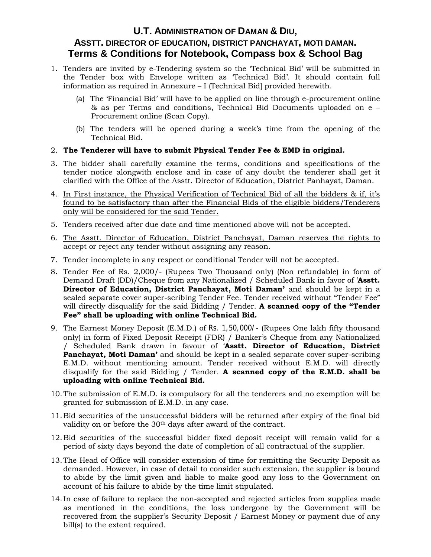## **U.T. ADMINISTRATION OF DAMAN & DIU, ASSTT. DIRECTOR OF EDUCATION, DISTRICT PANCHAYAT, MOTI DAMAN. Terms & Conditions for Notebook, Compass box & School Bag**

- 1. Tenders are invited by e-Tendering system so the 'Technical Bid' will be submitted in the Tender box with Envelope written as 'Technical Bid'. It should contain full information as required in Annexure – I (Technical Bid] provided herewith.
	- (a) The 'Financial Bid' will have to be applied on line through e-procurement online & as per Terms and conditions, Technical Bid Documents uploaded on e – Procurement online (Scan Copy).
	- (b) The tenders will be opened during a week's time from the opening of the Technical Bid.

#### 2. **The Tenderer will have to submit Physical Tender Fee & EMD in original.**

- 3. The bidder shall carefully examine the terms, conditions and specifications of the tender notice alongwith enclose and in case of any doubt the tenderer shall get it clarified with the Office of the Asstt. Director of Education, District Panhayat, Daman.
- 4. In First instance, the Physical Verification of Technical Bid of all the bidders & if, it's found to be satisfactory than after the Financial Bids of the eligible bidders/Tenderers only will be considered for the said Tender.
- 5. Tenders received after due date and time mentioned above will not be accepted.
- 6. The Asstt. Director of Education, District Panchayat, Daman reserves the rights to accept or reject any tender without assigning any reason.
- 7. Tender incomplete in any respect or conditional Tender will not be accepted.
- 8. Tender Fee of Rs. 2,000/- (Rupees Two Thousand only) (Non refundable) in form of Demand Draft (DD)/Cheque from any Nationalized / Scheduled Bank in favor of '**Asstt. Director of Education, District Panchayat, Moti Daman'** and should be kept in a sealed separate cover super-scribing Tender Fee. Tender received without "Tender Fee" will directly disqualify for the said Bidding / Tender. **A scanned copy of the "Tender Fee" shall be uploading with online Technical Bid.**
- 9. The Earnest Money Deposit (E.M.D.) of Rs. 1,50,000/- (Rupees One lakh fifty thousand only) in form of Fixed Deposit Receipt (FDR) / Banker's Cheque from any Nationalized / Scheduled Bank drawn in favour of '**Asstt. Director of Education, District Panchayat, Moti Daman'** and should be kept in a sealed separate cover super-scribing E.M.D. without mentioning amount. Tender received without E.M.D. will directly disqualify for the said Bidding / Tender. **A scanned copy of the E.M.D. shall be uploading with online Technical Bid.**
- 10.The submission of E.M.D. is compulsory for all the tenderers and no exemption will be granted for submission of E.M.D. in any case.
- 11.Bid securities of the unsuccessful bidders will be returned after expiry of the final bid validity on or before the 30<sup>th</sup> days after award of the contract.
- 12.Bid securities of the successful bidder fixed deposit receipt will remain valid for a period of sixty days beyond the date of completion of all contractual of the supplier.
- 13.The Head of Office will consider extension of time for remitting the Security Deposit as demanded. However, in case of detail to consider such extension, the supplier is bound to abide by the limit given and liable to make good any loss to the Government on account of his failure to abide by the time limit stipulated.
- 14.In case of failure to replace the non-accepted and rejected articles from supplies made as mentioned in the conditions, the loss undergone by the Government will be recovered from the supplier's Security Deposit / Earnest Money or payment due of any bill(s) to the extent required.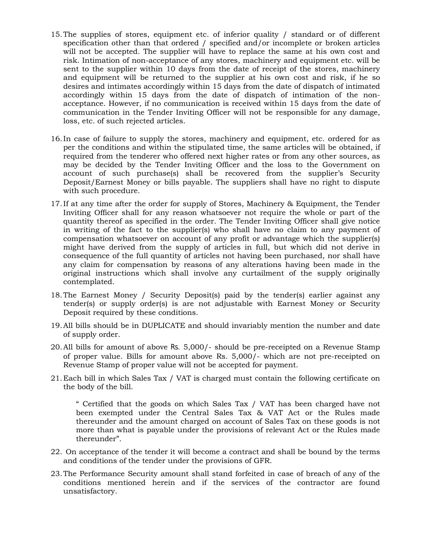- 15.The supplies of stores, equipment etc. of inferior quality / standard or of different specification other than that ordered / specified and/or incomplete or broken articles will not be accepted. The supplier will have to replace the same at his own cost and risk. Intimation of non-acceptance of any stores, machinery and equipment etc. will be sent to the supplier within 10 days from the date of receipt of the stores, machinery and equipment will be returned to the supplier at his own cost and risk, if he so desires and intimates accordingly within 15 days from the date of dispatch of intimated accordingly within 15 days from the date of dispatch of intimation of the nonacceptance. However, if no communication is received within 15 days from the date of communication in the Tender Inviting Officer will not be responsible for any damage, loss, etc. of such rejected articles.
- 16.In case of failure to supply the stores, machinery and equipment, etc. ordered for as per the conditions and within the stipulated time, the same articles will be obtained, if required from the tenderer who offered next higher rates or from any other sources, as may be decided by the Tender Inviting Officer and the loss to the Government on account of such purchase(s) shall be recovered from the supplier's Security Deposit/Earnest Money or bills payable. The suppliers shall have no right to dispute with such procedure.
- 17.If at any time after the order for supply of Stores, Machinery & Equipment, the Tender Inviting Officer shall for any reason whatsoever not require the whole or part of the quantity thereof as specified in the order. The Tender Inviting Officer shall give notice in writing of the fact to the supplier(s) who shall have no claim to any payment of compensation whatsoever on account of any profit or advantage which the supplier(s) might have derived from the supply of articles in full, but which did not derive in consequence of the full quantity of articles not having been purchased, nor shall have any claim for compensation by reasons of any alterations having been made in the original instructions which shall involve any curtailment of the supply originally contemplated.
- 18.The Earnest Money / Security Deposit(s) paid by the tender(s) earlier against any tender(s) or supply order(s) is are not adjustable with Earnest Money or Security Deposit required by these conditions.
- 19.All bills should be in DUPLICATE and should invariably mention the number and date of supply order.
- 20.All bills for amount of above Rs. 5,000/- should be pre-receipted on a Revenue Stamp of proper value. Bills for amount above Rs. 5,000/- which are not pre-receipted on Revenue Stamp of proper value will not be accepted for payment.
- 21.Each bill in which Sales Tax / VAT is charged must contain the following certificate on the body of the bill.

" Certified that the goods on which Sales Tax / VAT has been charged have not been exempted under the Central Sales Tax & VAT Act or the Rules made thereunder and the amount charged on account of Sales Tax on these goods is not more than what is payable under the provisions of relevant Act or the Rules made thereunder".

- 22. On acceptance of the tender it will become a contract and shall be bound by the terms and conditions of the tender under the provisions of GFR.
- 23.The Performance Security amount shall stand forfeited in case of breach of any of the conditions mentioned herein and if the services of the contractor are found unsatisfactory.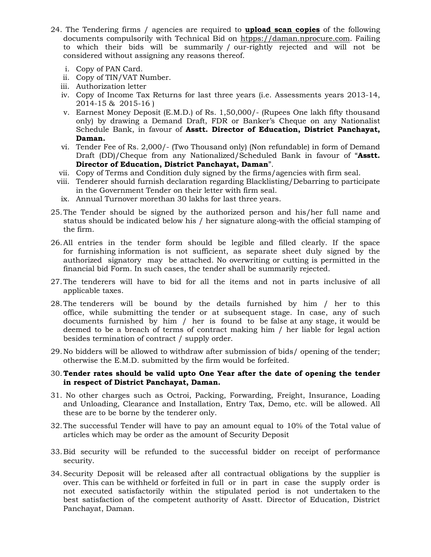- 24. The Tendering firms / agencies are required to **upload scan copies** of the following documents compulsorily with Technical Bid on htpps://daman.nprocure.com. Failing to which their bids will be summarily / our-rightly rejected and will not be considered without assigning any reasons thereof.
	- i. Copy of PAN Card.
	- ii. Copy of TIN/VAT Number.
	- iii. Authorization letter
	- iv. Copy of Income Tax Returns for last three years (i.e. Assessments years 2013-14, 2014-15 & 2015-16 )
	- v. Earnest Money Deposit (E.M.D.) of Rs. 1,50,000/- (Rupees One lakh fifty thousand only) by drawing a Demand Draft, FDR or Banker's Cheque on any Nationalist Schedule Bank, in favour of **Asstt. Director of Education, District Panchayat, Daman.**
	- vi. Tender Fee of Rs. 2,000/- (Two Thousand only) (Non refundable) in form of Demand Draft (DD)/Cheque from any Nationalized/Scheduled Bank in favour of "**Asstt. Director of Education, District Panchayat, Daman**".
	- vii. Copy of Terms and Condition duly signed by the firms/agencies with firm seal.
	- viii. Tenderer should furnish declaration regarding Blacklisting/Debarring to participate in the Government Tender on their letter with firm seal.
	- ix. Annual Turnover morethan 30 lakhs for last three years.
- 25.The Tender should be signed by the authorized person and his/her full name and status should be indicated below his / her signature along-with the official stamping of the firm.
- 26.All entries in the tender form should be legible and filled clearly. If the space for furnishing information is not sufficient, as separate sheet duly signed by the authorized signatory may be attached. No overwriting or cutting is permitted in the financial bid Form. In such cases, the tender shall be summarily rejected.
- 27.The tenderers will have to bid for all the items and not in parts inclusive of all applicable taxes.
- 28.The tenderers will be bound by the details furnished by him / her to this office, while submitting the tender or at subsequent stage. In case, any of such documents furnished by him / her is found to be false at any stage, it would be deemed to be a breach of terms of contract making him / her liable for legal action besides termination of contract / supply order.
- 29.No bidders will be allowed to withdraw after submission of bids/ opening of the tender; otherwise the E.M.D. submitted by the firm would be forfeited.

#### 30.**Tender rates should be valid upto One Year after the date of opening the tender in respect of District Panchayat, Daman.**

- 31. No other charges such as Octroi, Packing, Forwarding, Freight, Insurance, Loading and Unloading, Clearance and Installation, Entry Tax, Demo, etc. will be allowed. All these are to be borne by the tenderer only.
- 32.The successful Tender will have to pay an amount equal to 10% of the Total value of articles which may be order as the amount of Security Deposit
- 33.Bid security will be refunded to the successful bidder on receipt of performance security.
- 34.Security Deposit will be released after all contractual obligations by the supplier is over. This can be withheld or forfeited in full or in part in case the supply order is not executed satisfactorily within the stipulated period is not undertaken to the best satisfaction of the competent authority of Asstt. Director of Education, District Panchayat, Daman.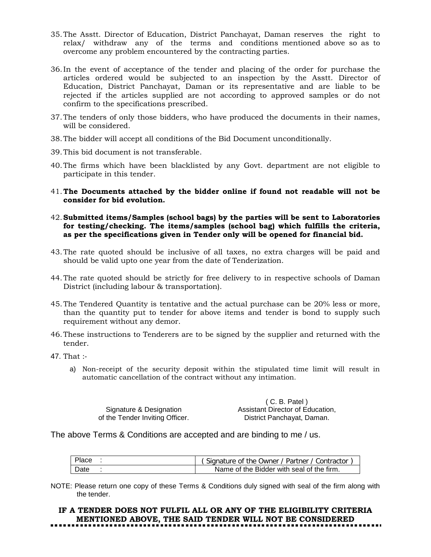- 35.The Asstt. Director of Education, District Panchayat, Daman reserves the right to relax/ withdraw any of the terms and conditions mentioned above so as to overcome any problem encountered by the contracting parties.
- 36.In the event of acceptance of the tender and placing of the order for purchase the articles ordered would be subjected to an inspection by the Asstt. Director of Education, District Panchayat, Daman or its representative and are liable to be rejected if the articles supplied are not according to approved samples or do not confirm to the specifications prescribed.
- 37.The tenders of only those bidders, who have produced the documents in their names, will be considered.
- 38.The bidder will accept all conditions of the Bid Document unconditionally.
- 39.This bid document is not transferable.
- 40.The firms which have been blacklisted by any Govt. department are not eligible to participate in this tender.
- 41.**The Documents attached by the bidder online if found not readable will not be consider for bid evolution.**
- 42.**Submitted items/Samples (school bags) by the parties will be sent to Laboratories for testing/checking. The items/samples (school bag) which fulfills the criteria, as per the specifications given in Tender only will be opened for financial bid.**
- 43.The rate quoted should be inclusive of all taxes, no extra charges will be paid and should be valid upto one year from the date of Tenderization.
- 44.The rate quoted should be strictly for free delivery to in respective schools of Daman District (including labour & transportation).
- 45.The Tendered Quantity is tentative and the actual purchase can be 20% less or more, than the quantity put to tender for above items and tender is bond to supply such requirement without any demor.
- 46.These instructions to Tenderers are to be signed by the supplier and returned with the tender.
- 47. That :
	- a) Non-receipt of the security deposit within the stipulated time limit will result in automatic cancellation of the contract without any intimation.

|                                 | $(C. B.$ Patel)                  |
|---------------------------------|----------------------------------|
| Signature & Designation         | Assistant Director of Education. |
| of the Tender Inviting Officer. | District Panchayat, Daman.       |

The above Terms & Conditions are accepted and are binding to me / us.

|      | (Signature of the Owner / Partner / Contractor |
|------|------------------------------------------------|
| Date | Name of the Bidder with seal of the firm.      |

NOTE: Please return one copy of these Terms & Conditions duly signed with seal of the firm along with the tender.

# **IF A TENDER DOES NOT FULFIL ALL OR ANY OF THE ELIGIBILITY CRITERIA MENTIONED ABOVE, THE SAID TENDER WILL NOT BE CONSIDERED**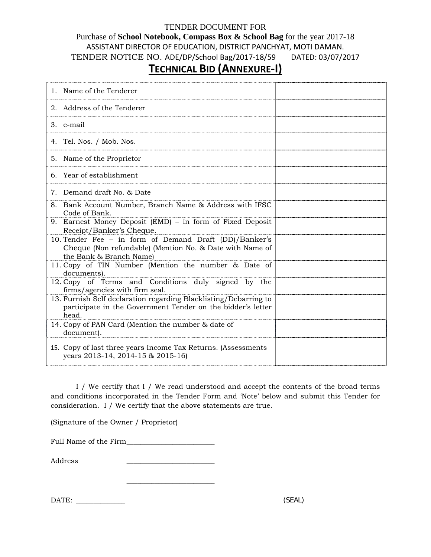#### TENDER DOCUMENT FOR

# Purchase of **School Notebook, Compass Box & School Bag** for the year 2017-18 ASSISTANT DIRECTOR OF EDUCATION, DISTRICT PANCHYAT, MOTI DAMAN. TENDER NOTICE NO. ADE/DP/School Bag/2017-18/59 DATED: 03/07/2017

# **TECHNICAL BID (ANNEXURE-I)**

| 1. Name of the Tenderer                                                                                                                       |  |
|-----------------------------------------------------------------------------------------------------------------------------------------------|--|
| 2. Address of the Tenderer                                                                                                                    |  |
| 3. e-mail                                                                                                                                     |  |
| 4. Tel. Nos. / Mob. Nos.                                                                                                                      |  |
| 5. Name of the Proprietor                                                                                                                     |  |
| 6. Year of establishment                                                                                                                      |  |
| 7. Demand draft No. & Date                                                                                                                    |  |
| 8. Bank Account Number, Branch Name & Address with IFSC<br>Code of Bank.                                                                      |  |
| 9. Earnest Money Deposit (EMD) - in form of Fixed Deposit<br>Receipt/Banker's Cheque.                                                         |  |
| 10. Tender Fee - in form of Demand Draft (DD)/Banker's<br>Cheque (Non refundable) (Mention No. & Date with Name of<br>the Bank & Branch Name) |  |
| 11. Copy of TIN Number (Mention the number & Date of<br>documents).                                                                           |  |
| 12. Copy of Terms and Conditions duly signed by the<br>firms/agencies with firm seal.                                                         |  |
| 13. Furnish Self declaration regarding Blacklisting/Debarring to<br>participate in the Government Tender on the bidder's letter<br>head.      |  |
| 14. Copy of PAN Card (Mention the number & date of<br>document).                                                                              |  |
| 15. Copy of last three years Income Tax Returns. (Assessments<br>years 2013-14, 2014-15 & 2015-16)                                            |  |

I / We certify that I / We read understood and accept the contents of the broad terms and conditions incorporated in the Tender Form and 'Note' below and submit this Tender for consideration. I / We certify that the above statements are true.

(Signature of the Owner / Proprietor)

Full Name of the Firm\_\_\_\_\_\_\_\_\_\_\_\_\_\_\_\_\_\_\_\_\_\_\_\_\_

\_\_\_\_\_\_\_\_\_\_\_\_\_\_\_\_\_\_\_\_\_\_\_\_\_

Address \_\_\_\_\_\_\_\_\_\_\_\_\_\_\_\_\_\_\_\_\_\_\_\_\_

DATE: \_\_\_\_\_\_\_\_\_\_\_\_\_\_ (SEAL)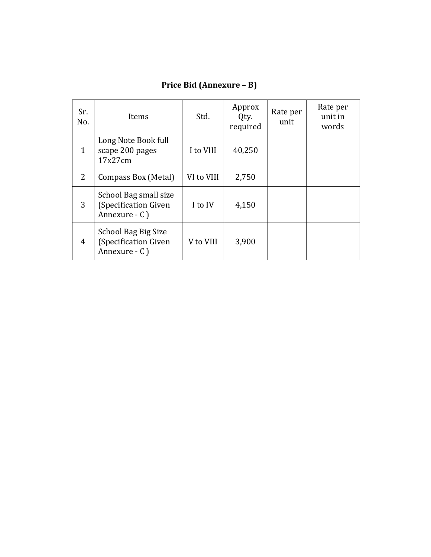| Sr.<br>No.     | Items                                                               | Std.       | Approx<br>Qty.<br>required | Rate per<br>unit | Rate per<br>unit in<br>words |
|----------------|---------------------------------------------------------------------|------------|----------------------------|------------------|------------------------------|
| 1              | Long Note Book full<br>scape 200 pages<br>17x27cm                   | I to VIII  | 40,250                     |                  |                              |
| $\overline{2}$ | Compass Box (Metal)                                                 | VI to VIII | 2,750                      |                  |                              |
| 3              | School Bag small size<br>(Specification Given<br>Annexure - C)      | I to IV    | 4,150                      |                  |                              |
| $\overline{4}$ | <b>School Bag Big Size</b><br>(Specification Given<br>Annexure - C) | V to VIII  | 3,900                      |                  |                              |

# **Price Bid (Annexure – B)**